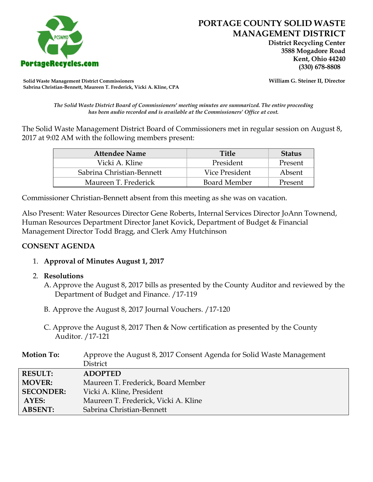

 **District Recycling Center 3588 Mogadore Road Kent, Ohio 44240**

**Solid Waste Management District Commissioners William G. Steiner II, Director Sabrina Christian-Bennett, Maureen T. Frederick, Vicki A. Kline, CPA**

*The Solid Waste District Board of Commissioners' meeting minutes are summarized. The entire proceeding has been audio recorded and is available at the Commissioners' Office at cost.*

The Solid Waste Management District Board of Commissioners met in regular session on August 8, 2017 at 9:02 AM with the following members present:

| Attendee Name             | <b>Title</b>   | <b>Status</b> |
|---------------------------|----------------|---------------|
| Vicki A. Kline            | President      | Present       |
| Sabrina Christian-Bennett | Vice President | Absent        |
| Maureen T. Frederick      | Board Member   | Present       |

Commissioner Christian-Bennett absent from this meeting as she was on vacation.

Also Present: Water Resources Director Gene Roberts, Internal Services Director JoAnn Townend, Human Resources Department Director Janet Kovick, Department of Budget & Financial Management Director Todd Bragg, and Clerk Amy Hutchinson

## **CONSENT AGENDA**

- 1. **Approval of Minutes August 1, 2017**
- 2. **Resolutions**
	- A. Approve the August 8, 2017 bills as presented by the County Auditor and reviewed by the Department of Budget and Finance. /17-119
	- B. Approve the August 8, 2017 Journal Vouchers. /17-120
	- C. Approve the August 8, 2017 Then & Now certification as presented by the County Auditor. /17-121

| <b>Motion To:</b> | Approve the August 8, 2017 Consent Agenda for Solid Waste Management |
|-------------------|----------------------------------------------------------------------|
|                   | District                                                             |
| <b>RESULT:</b>    | <b>ADOPTED</b>                                                       |
| <b>MOVER:</b>     | Maureen T. Frederick, Board Member                                   |
| <b>SECONDER:</b>  | Vicki A. Kline, President                                            |
| AYES:             | Maureen T. Frederick, Vicki A. Kline                                 |
| <b>ABSENT:</b>    | Sabrina Christian-Bennett                                            |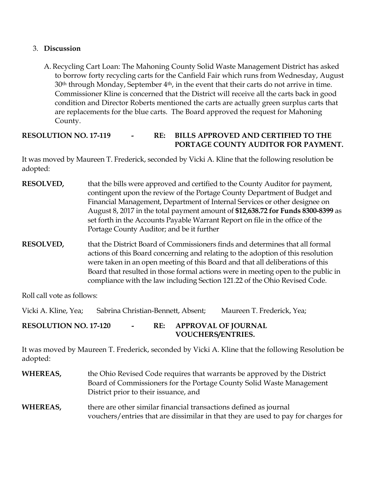## 3. **Discussion**

A. Recycling Cart Loan: The Mahoning County Solid Waste Management District has asked to borrow forty recycling carts for the Canfield Fair which runs from Wednesday, August  $30<sup>th</sup>$  through Monday, September  $4<sup>th</sup>$ , in the event that their carts do not arrive in time. Commissioner Kline is concerned that the District will receive all the carts back in good condition and Director Roberts mentioned the carts are actually green surplus carts that are replacements for the blue carts. The Board approved the request for Mahoning County.

## **RESOLUTION NO. 17-119 - RE: BILLS APPROVED AND CERTIFIED TO THE PORTAGE COUNTY AUDITOR FOR PAYMENT.**

It was moved by Maureen T. Frederick, seconded by Vicki A. Kline that the following resolution be adopted:

- **RESOLVED,** that the bills were approved and certified to the County Auditor for payment, contingent upon the review of the Portage County Department of Budget and Financial Management, Department of Internal Services or other designee on August 8, 2017 in the total payment amount of **\$12,638.72 for Funds 8300-8399** as set forth in the Accounts Payable Warrant Report on file in the office of the Portage County Auditor; and be it further
- **RESOLVED,** that the District Board of Commissioners finds and determines that all formal actions of this Board concerning and relating to the adoption of this resolution were taken in an open meeting of this Board and that all deliberations of this Board that resulted in those formal actions were in meeting open to the public in compliance with the law including Section 121.22 of the Ohio Revised Code.

Roll call vote as follows:

Vicki A. Kline, Yea; Sabrina Christian-Bennett, Absent; Maureen T. Frederick, Yea;

**RESOLUTION NO. 17-120 - RE: APPROVAL OF JOURNAL VOUCHERS/ENTRIES.**

It was moved by Maureen T. Frederick, seconded by Vicki A. Kline that the following Resolution be adopted:

**WHEREAS,** the Ohio Revised Code requires that warrants be approved by the District Board of Commissioners for the Portage County Solid Waste Management District prior to their issuance, and **WHEREAS,** there are other similar financial transactions defined as journal

vouchers/entries that are dissimilar in that they are used to pay for charges for